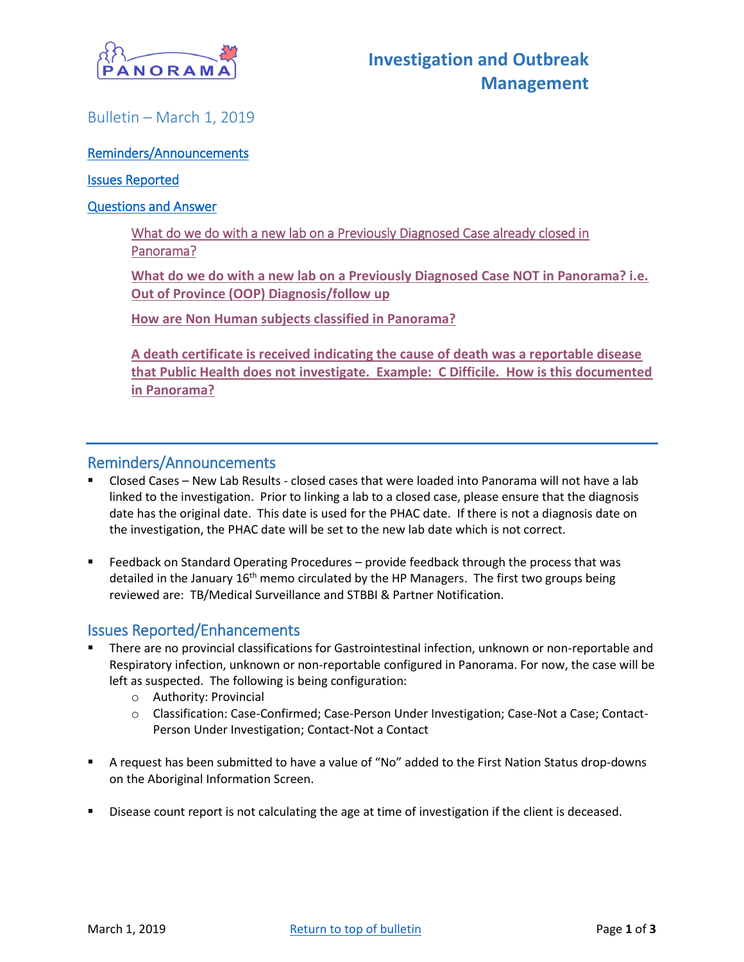

## <span id="page-0-0"></span>Bulletin – March 1, 2019

#### [Reminders/Announcements](#page-0-0)

#### [Issues Reported](#page-0-1)

#### [Questions and Answer](#page-1-0)

[What do we do with a new lab on a Previously Diagnosed Case already closed in](#page-1-1)  [Panorama?](#page-1-1) 

**[What do we do with a new lab on a Previously Diagnosed Case NOT in Panorama? i.e.](#page-1-2)  [Out of Province \(OOP\) Diagnosis/follow up](#page-1-2)**

**[How are Non Human subjects classified in Panorama?](#page-2-0)**

**[A death certificate is received indicating the cause of death was a reportable disease](#page-2-1)  [that Public Health does not investigate. Example: C Difficile. How is this documented](#page-2-1)  [in Panorama?](#page-2-1)**

#### Reminders/Announcements

- Closed Cases New Lab Results closed cases that were loaded into Panorama will not have a lab linked to the investigation. Prior to linking a lab to a closed case, please ensure that the diagnosis date has the original date. This date is used for the PHAC date. If there is not a diagnosis date on the investigation, the PHAC date will be set to the new lab date which is not correct.
- Feedback on Standard Operating Procedures provide feedback through the process that was detailed in the January 16<sup>th</sup> memo circulated by the HP Managers. The first two groups being reviewed are: TB/Medical Surveillance and STBBI & Partner Notification.

### <span id="page-0-1"></span>Issues Reported/Enhancements

- **■** There are no provincial classifications for Gastrointestinal infection, unknown or non-reportable and Respiratory infection, unknown or non-reportable configured in Panorama. For now, the case will be left as suspected. The following is being configuration:
	- o Authority: Provincial
	- o Classification: Case-Confirmed; Case-Person Under Investigation; Case-Not a Case; Contact-Person Under Investigation; Contact-Not a Contact
- A request has been submitted to have a value of "No" added to the First Nation Status drop-downs on the Aboriginal Information Screen.
- Disease count report is not calculating the age at time of investigation if the client is deceased.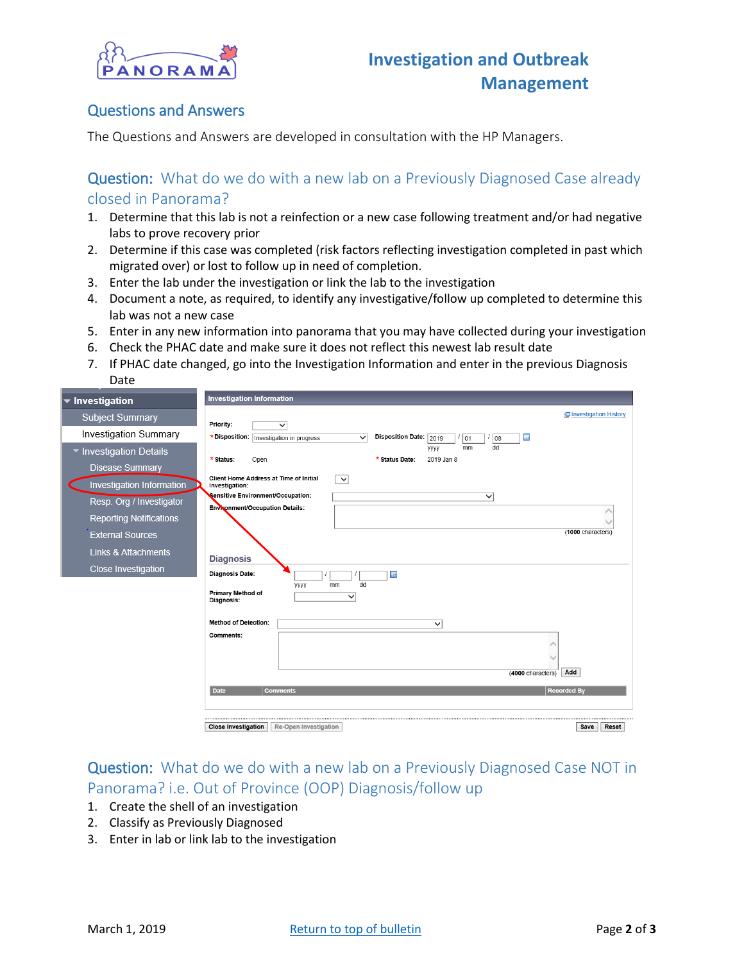

### <span id="page-1-0"></span>Questions and Answers

The Questions and Answers are developed in consultation with the HP Managers.

### <span id="page-1-1"></span>Question: What do we do with a new lab on a Previously Diagnosed Case already closed in Panorama?

- 1. Determine that this lab is not a reinfection or a new case following treatment and/or had negative labs to prove recovery prior
- 2. Determine if this case was completed (risk factors reflecting investigation completed in past which migrated over) or lost to follow up in need of completion.
- 3. Enter the lab under the investigation or link the lab to the investigation
- 4. Document a note, as required, to identify any investigative/follow up completed to determine this lab was not a new case
- 5. Enter in any new information into panorama that you may have collected during your investigation
- 6. Check the PHAC date and make sure it does not reflect this newest lab result date
- 7. If PHAC date changed, go into the Investigation Information and enter in the previous Diagnosis Date

| $\blacktriangledown$ Investigation                                                                                                                                                                                                                                       | <b>Investigation Information</b>                                                                                                                                                                                                                                                                                                                                                                                                                                                                                                                                              |
|--------------------------------------------------------------------------------------------------------------------------------------------------------------------------------------------------------------------------------------------------------------------------|-------------------------------------------------------------------------------------------------------------------------------------------------------------------------------------------------------------------------------------------------------------------------------------------------------------------------------------------------------------------------------------------------------------------------------------------------------------------------------------------------------------------------------------------------------------------------------|
| <b>Subject Summary</b><br>Investigation Summary<br>▼ Investigation Details<br><b>Disease Summary</b><br>Investigation Information<br>Resp. Org / Investigator<br><b>Reporting Notifications</b><br><b>External Sources</b><br>Links & Attachments<br>Close Investigation | Investigation History<br>Priority:<br>$\overline{\mathsf{v}}$<br>* Disposition:   Investigation in progress<br>Disposition Date: 2019<br>田<br>$\checkmark$<br>$\frac{1}{01}$<br>08<br>dd<br><b>VVVV</b><br>mm<br>2019 Jan 8<br>Open<br>* Status Date:<br>* Status:<br>Client Home Address at Time of Initial<br>$\overline{\mathbf{v}}$<br>Investigation:<br>Sensitive Environment/Occupation:<br>$\overline{\mathsf{v}}$<br>Environment/Occupation Details:<br>(1000 characters)<br><b>Diagnosis</b><br>Diagnosis Date:<br>田<br>dd<br>mm<br>уууу<br><b>Primary Method of</b> |
|                                                                                                                                                                                                                                                                          | $\checkmark$<br>Diagnosis:<br><b>Method of Detection:</b><br>$\checkmark$<br>Comments:<br>Add<br>(4000 characters)<br>Date<br><b>Recorded By</b><br><b>Comments</b><br><b>Close Investigation</b><br>Re-Open Investigation<br>Save<br>Reset                                                                                                                                                                                                                                                                                                                                   |

# <span id="page-1-2"></span>Question: What do we do with a new lab on a Previously Diagnosed Case NOT in Panorama? i.e. Out of Province (OOP) Diagnosis/follow up

- 1. Create the shell of an investigation
- 2. Classify as Previously Diagnosed
- 3. Enter in lab or link lab to the investigation